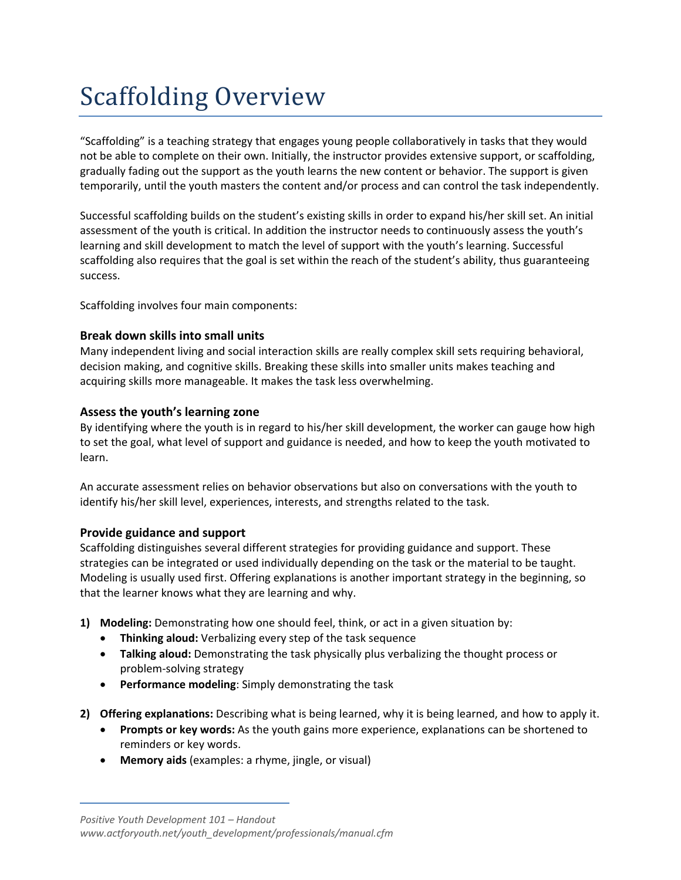# Scaffolding Overview

"Scaffolding" is a teaching strategy that engages young people collaboratively in tasks that they would not be able to complete on their own. Initially, the instructor provides extensive support, or scaffolding, gradually fading out the support as the youth learns the new content or behavior. The support is given temporarily, until the youth masters the content and/or process and can control the task independently.

Successful scaffolding builds on the student's existing skills in order to expand his/her skill set. An initial assessment of the youth is critical. In addition the instructor needs to continuously assess the youth's learning and skill development to match the level of support with the youth's learning. Successful scaffolding also requires that the goal is set within the reach of the student's ability, thus guaranteeing success.

Scaffolding involves four main components:

# **Break down skills into small units**

Many independent living and social interaction skills are really complex skill sets requiring behavioral, decision making, and cognitive skills. Breaking these skills into smaller units makes teaching and acquiring skills more manageable. It makes the task less overwhelming.

# **Assess the youth's learning zone**

By identifying where the youth is in regard to his/her skill development, the worker can gauge how high to set the goal, what level of support and guidance is needed, and how to keep the youth motivated to learn.

An accurate assessment relies on behavior observations but also on conversations with the youth to identify his/her skill level, experiences, interests, and strengths related to the task.

# **Provide guidance and support**

Scaffolding distinguishes several different strategies for providing guidance and support. These strategies can be integrated or used individually depending on the task or the material to be taught. Modeling is usually used first. Offering explanations is another important strategy in the beginning, so that the learner knows what they are learning and why.

- **1) Modeling:** Demonstrating how one should feel, think, or act in a given situation by:
	- **Thinking aloud:** Verbalizing every step of the task sequence
	- **Talking aloud:** Demonstrating the task physically plus verbalizing the thought process or problem‐solving strategy
	- **Performance modeling**: Simply demonstrating the task
- **2) Offering explanations:** Describing what is being learned, why it is being learned, and how to apply it.
	- **Prompts or key words:** As the youth gains more experience, explanations can be shortened to reminders or key words.
	- **Memory aids** (examples: a rhyme, jingle, or visual)